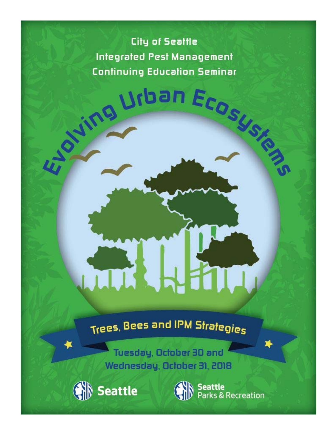# **City of Seattle Integrated Pest Management Continuing Education Seminar**

Wing Urban Ecosystem

# Trees, Bees and IPM Strategies

Tuesday, October 30 and Wednesday, October 31, 2018



Seattle<br>Parks & Recreation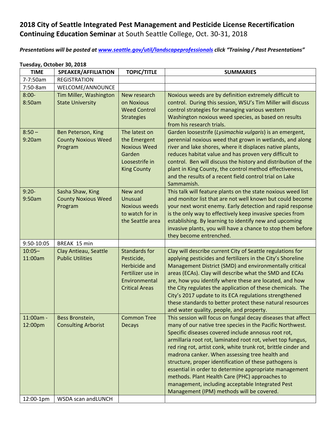## **2018 City of Seattle Integrated Pest Management and Pesticide License Recertification Continuing Education Seminar** at South Seattle College, Oct. 30‐31, 2018

*Presentations will be posted at www.seattle.gov/util/landscapeprofessionals click "Training / Past Presentations"*

## **Tuesday, October 30, 2018**

| <b>TIME</b>          | SPEAKER/AFFILIATION                              | <b>TOPIC/TITLE</b>                 | <b>SUMMARIES</b>                                                                                                          |
|----------------------|--------------------------------------------------|------------------------------------|---------------------------------------------------------------------------------------------------------------------------|
| 7-7:50am             | <b>REGISTRATION</b>                              |                                    |                                                                                                                           |
| 7:50-8am             | WELCOME/ANNOUNCE                                 |                                    |                                                                                                                           |
| $8:00-$              | Tim Miller, Washington                           | New research                       | Noxious weeds are by definition extremely difficult to                                                                    |
| 8:50am               | <b>State University</b>                          | on Noxious                         | control. During this session, WSU's Tim Miller will discuss                                                               |
|                      |                                                  | <b>Weed Control</b>                | control strategies for managing various western                                                                           |
|                      |                                                  | <b>Strategies</b>                  | Washington noxious weed species, as based on results<br>from his research trials.                                         |
| $8:50 -$<br>9:20am   | Ben Peterson, King<br><b>County Noxious Weed</b> | The latest on<br>the Emergent      | Garden loosestrife (Lysimachia vulgaris) is an emergent,<br>perennial noxious weed that grown in wetlands, and along      |
|                      | Program                                          | <b>Noxious Weed</b><br>Garden      | river and lake shores, where it displaces native plants,<br>reduces habitat value and has proven very difficult to        |
|                      |                                                  | Loosestrife in                     | control. Ben will discuss the history and distribution of the                                                             |
|                      |                                                  | <b>King County</b>                 | plant in King County, the control method effectiveness,                                                                   |
|                      |                                                  |                                    | and the results of a recent field control trial on Lake                                                                   |
|                      |                                                  |                                    | Sammamish.                                                                                                                |
| $9:20-$<br>9:50am    | Sasha Shaw, King<br><b>County Noxious Weed</b>   | New and<br>Unusual                 | This talk will feature plants on the state noxious weed list<br>and monitor list that are not well known but could become |
|                      | Program                                          | <b>Noxious weeds</b>               | your next worst enemy. Early detection and rapid response                                                                 |
|                      |                                                  | to watch for in                    | is the only way to effectively keep invasive species from                                                                 |
|                      |                                                  | the Seattle area                   | establishing. By learning to identify new and upcoming                                                                    |
|                      |                                                  |                                    | invasive plants, you will have a chance to stop them before                                                               |
|                      |                                                  |                                    | they become entrenched.                                                                                                   |
| 9:50-10:05           | BREAK 15 min                                     |                                    |                                                                                                                           |
| $10:05 -$<br>11:00am | Clay Antieau, Seattle<br><b>Public Utilities</b> | <b>Standards for</b><br>Pesticide, | Clay will describe current City of Seattle regulations for<br>applying pesticides and fertilizers in the City's Shoreline |
|                      |                                                  | <b>Herbicide and</b>               | Management District (SMD) and environmentally critical                                                                    |
|                      |                                                  | Fertilizer use in                  | areas (ECAs). Clay will describe what the SMD and ECAs                                                                    |
|                      |                                                  | Environmental                      | are, how you identify where these are located, and how                                                                    |
|                      |                                                  | <b>Critical Areas</b>              | the City regulates the application of these chemicals. The                                                                |
|                      |                                                  |                                    | City's 2017 update to its ECA regulations strengthened                                                                    |
|                      |                                                  |                                    | these standards to better protect these natural resources<br>and water quality, people, and property.                     |
| 11:00am -            | Bess Bronstein,                                  | <b>Common Tree</b>                 | This session will focus on fungal decay diseases that affect                                                              |
| 12:00pm              | <b>Consulting Arborist</b>                       | <b>Decays</b>                      | many of our native tree species in the Pacific Northwest.                                                                 |
|                      |                                                  |                                    | Specific diseases covered include annosus root rot,                                                                       |
|                      |                                                  |                                    | armillaria root rot, laminated root rot, velvet top fungus,                                                               |
|                      |                                                  |                                    | red ring rot, artist conk, white trunk rot, brittle cinder and                                                            |
|                      |                                                  |                                    | madrona canker. When assessing tree health and                                                                            |
|                      |                                                  |                                    | structure, proper identification of these pathogens is<br>essential in order to determine appropriate management          |
|                      |                                                  |                                    | methods. Plant Health Care (PHC) approaches to                                                                            |
|                      |                                                  |                                    | management, including acceptable Integrated Pest                                                                          |
|                      |                                                  |                                    | Management (IPM) methods will be covered.                                                                                 |
| 12:00-1pm            | WSDA scan and LUNCH                              |                                    |                                                                                                                           |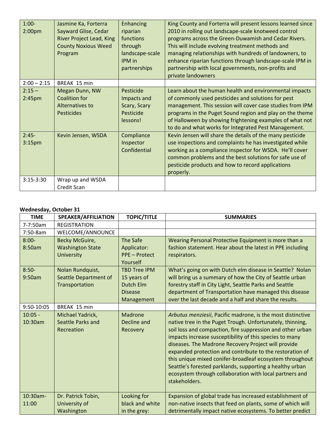| $1:00-$<br>2:00 <sub>pm</sub>  | Jasmine Ka, Forterra<br>Sayward Glise, Cedar<br><b>River Project Lead, King</b><br><b>County Noxious Weed</b><br>Program | Enhancing<br>riparian<br>functions<br>through<br>landscape-scale<br>IPM in<br>partnerships | King County and Forterra will present lessons learned since<br>2010 in rolling out landscape-scale knotweed control<br>programs across the Green-Duwamish and Cedar Rivers.<br>This will include evolving treatment methods and<br>managing relationships with hundreds of landowners, to<br>enhance riparian functions through landscape-scale IPM in<br>partnership with local governments, non-profits and<br>private landowners |
|--------------------------------|--------------------------------------------------------------------------------------------------------------------------|--------------------------------------------------------------------------------------------|-------------------------------------------------------------------------------------------------------------------------------------------------------------------------------------------------------------------------------------------------------------------------------------------------------------------------------------------------------------------------------------------------------------------------------------|
| $2:00 - 2:15$                  | BREAK 15 min                                                                                                             |                                                                                            |                                                                                                                                                                                                                                                                                                                                                                                                                                     |
| $2:15 -$<br>2:45 <sub>pm</sub> | Megan Dunn, NW<br><b>Coalition for</b><br>Alternatives to<br><b>Pesticides</b>                                           | Pesticide<br>Impacts and<br>Scary, Scary<br>Pesticide<br>lessons!                          | Learn about the human health and environmental impacts<br>of commonly used pesticides and solutions for pest<br>management. This session will cover case studies from IPM<br>programs in the Puget Sound region and play on the theme<br>of Halloween by showing frightening examples of what not<br>to do and what works for Integrated Pest Management.                                                                           |
| $2:45-$<br>3:15 <sub>pm</sub>  | Kevin Jensen, WSDA                                                                                                       | Compliance<br>Inspector<br>Confidential                                                    | Kevin Jensen will share the details of the many pesticide<br>use inspections and complaints he has investigated while<br>working as a compliance inspector for WSDA. He'll cover<br>common problems and the best solutions for safe use of<br>pesticide products and how to record applications<br>properly.                                                                                                                        |
| $3:15-3:30$                    | Wrap up and WSDA<br>Credit Scan                                                                                          |                                                                                            |                                                                                                                                                                                                                                                                                                                                                                                                                                     |

### **Wednesday, October 31**

| <b>TIME</b>          | <b>SPEAKER/AFFILIATION</b>                                     | <b>TOPIC/TITLE</b>                                                              | <b>SUMMARIES</b>                                                                                                                                                                                                                                                                                                                                                                                                                                                                                                                                                         |
|----------------------|----------------------------------------------------------------|---------------------------------------------------------------------------------|--------------------------------------------------------------------------------------------------------------------------------------------------------------------------------------------------------------------------------------------------------------------------------------------------------------------------------------------------------------------------------------------------------------------------------------------------------------------------------------------------------------------------------------------------------------------------|
| 7-7:50am             | <b>REGISTRATION</b>                                            |                                                                                 |                                                                                                                                                                                                                                                                                                                                                                                                                                                                                                                                                                          |
| 7:50-8am             | WELCOME/ANNOUNCE                                               |                                                                                 |                                                                                                                                                                                                                                                                                                                                                                                                                                                                                                                                                                          |
| $8:00 -$<br>8:50am   | Becky McGuire,<br><b>Washington State</b><br><b>University</b> | The Safe<br>Applicator:<br><b>PPE - Protect</b><br>Yourself                     | Wearing Personal Protective Equipment is more than a<br>fashion statement. Hear about the latest in PPE including<br>respirators.                                                                                                                                                                                                                                                                                                                                                                                                                                        |
| $8:50-$<br>9:50am    | Nolan Rundquist,<br>Seattle Department of<br>Transportation    | <b>TBD Tree IPM</b><br>15 years of<br>Dutch Elm<br><b>Disease</b><br>Management | What's going on with Dutch elm disease in Seattle? Nolan<br>will bring us a summary of how the City of Seattle urban<br>forestry staff in City Light, Seattle Parks and Seattle<br>department of Transportation have managed this disease<br>over the last decade and a half and share the results.                                                                                                                                                                                                                                                                      |
| 9:50-10:05           | BREAK 15 min                                                   |                                                                                 |                                                                                                                                                                                                                                                                                                                                                                                                                                                                                                                                                                          |
| $10:05 -$<br>10:30am | Michael Yadrick,<br>Seattle Parks and<br>Recreation            | Madrone<br>Decline and<br>Recovery                                              | Arbutus menziesii, Pacific madrone, is the most distinctive<br>native tree in the Puget Trough. Unfortunately, thinning,<br>soil loss and compaction, fire suppression and other urban<br>impacts increase susceptibility of this species to many<br>diseases. The Madrone Recovery Project will provide<br>expanded protection and contribute to the restoration of<br>this unique mixed conifer-broadleaf ecosystem throughout<br>Seattle's forested parklands, supporting a healthy urban<br>ecosystem through collaboration with local partners and<br>stakeholders. |
| 10:30am-<br>11:00    | Dr. Patrick Tobin,<br>University of<br>Washington              | Looking for<br>black and white<br>in the grey:                                  | Expansion of global trade has increased establishment of<br>non-native insects that feed on plants, some of which will<br>detrimentally impact native ecosystems. To better predict                                                                                                                                                                                                                                                                                                                                                                                      |